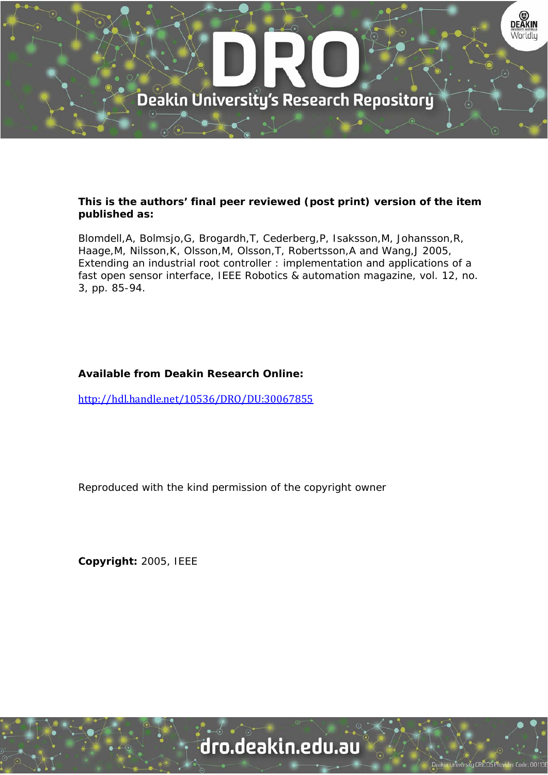

### **This is the authors' final peer reviewed (post print) version of the item published as:**

Blomdell,A, Bolmsjo,G, Brogardh,T, Cederberg,P, Isaksson,M, Johansson,R, Haage,M, Nilsson,K, Olsson,M, Olsson,T, Robertsson,A and Wang,J 2005, Extending an industrial root controller : implementation and applications of a fast open sensor interface, IEEE Robotics & automation magazine, vol. 12, no. 3, pp. 85-94.

## **Available from Deakin Research Online:**

http://hdl.handle.net/10536/DRO/DU:30067855

Reproduced with the kind permission of the copyright owner

**Copyright:** 2005, IEEE

# dro.deakin.edu.au

**Jniversity CRICOS Prov**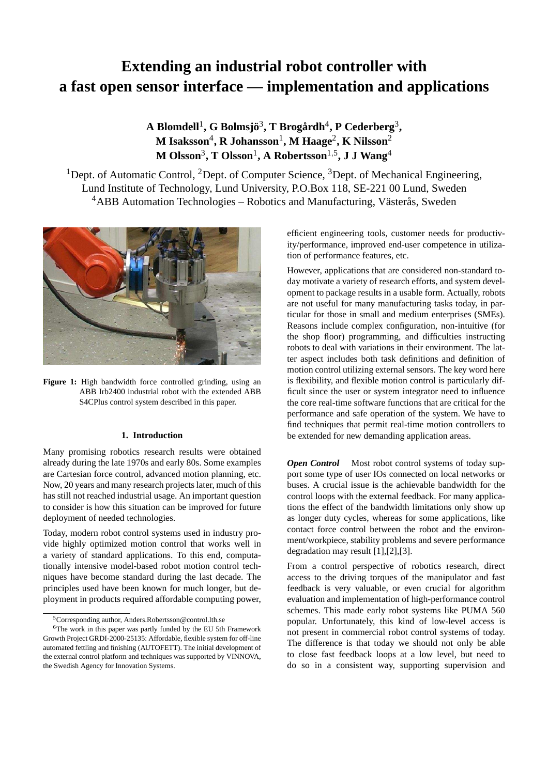# **Extending an industrial robot controller with a fast open sensor interface — implementation and applications**

**A Blomdell**<sup>1</sup> **, G Bolmsjö**<sup>3</sup> **, T Brogårdh**<sup>4</sup> **, P Cederberg**<sup>3</sup> **, M Isaksson**<sup>4</sup> **, R Johansson**<sup>1</sup> **, M Haage**<sup>2</sup> **, K Nilsson**<sup>2</sup> **M Olsson**<sup>3</sup> **, T Olsson**<sup>1</sup> **, A Robertsson**1,<sup>5</sup> **, J J Wang**<sup>4</sup>

<sup>1</sup>Dept. of Automatic Control, <sup>2</sup>Dept. of Computer Science, <sup>3</sup>Dept. of Mechanical Engineering, Lund Institute of Technology, Lund University, P.O.Box 118, SE-221 00 Lund, Sweden  $4$ ABB Automation Technologies – Robotics and Manufacturing, Västerås, Sweden



Figure 1: High bandwidth force controlled grinding, using an ABB Irb2400 industrial robot with the extended ABB S4CPlus control system described in this paper.

#### **1. Introduction**

Many promising robotics research results were obtained already during the late 1970s and early 80s. Some examples are Cartesian force control, advanced motion planning, etc. Now, 20 years and many research projects later, much of this has still not reached industrial usage. An important question to consider is how this situation can be improved for future deployment of needed technologies.

Today, modern robot control systems used in industry provide highly optimized motion control that works well in a variety of standard applications. To this end, computationally intensive model-based robot motion control techniques have become standard during the last decade. The principles used have been known for much longer, but deployment in products required affordable computing power, efficient engineering tools, customer needs for productivity/performance, improved end-user competence in utilization of performance features, etc.

However, applications that are considered non-standard today motivate a variety of research efforts, and system development to package results in a usable form. Actually, robots are not useful for many manufacturing tasks today, in particular for those in small and medium enterprises (SMEs). Reasons include complex configuration, non-intuitive (for the shop floor) programming, and difficulties instructing robots to deal with variations in their environment. The latter aspect includes both task definitions and definition of motion control utilizing external sensors. The key word here is flexibility, and flexible motion control is particularly difficult since the user or system integrator need to influence the core real-time software functions that are critical for the performance and safe operation of the system. We have to find techniques that permit real-time motion controllers to be extended for new demanding application areas.

*Open Control* Most robot control systems of today support some type of user IOs connected on local networks or buses. A crucial issue is the achievable bandwidth for the control loops with the external feedback. For many applications the effect of the bandwidth limitations only show up as longer duty cycles, whereas for some applications, like contact force control between the robot and the environment/workpiece, stability problems and severe performance degradation may result [1],[2],[3].

From a control perspective of robotics research, direct access to the driving torques of the manipulator and fast feedback is very valuable, or even crucial for algorithm evaluation and implementation of high-performance control schemes. This made early robot systems like PUMA 560 popular. Unfortunately, this kind of low-level access is not present in commercial robot control systems of today. The difference is that today we should not only be able to close fast feedback loops at a low level, but need to do so in a consistent way, supporting supervision and

<sup>5</sup>Corresponding author, Anders.Robertsson@control.lth.se

<sup>&</sup>lt;sup>6</sup>The work in this paper was partly funded by the EU 5th Framework Growth Project GRDI-2000-25135: Affordable, flexible system for off-line automated fettling and finishing (AUTOFETT). The initial development of the external control platform and techniques was supported by VINNOVA, the Swedish Agency for Innovation Systems.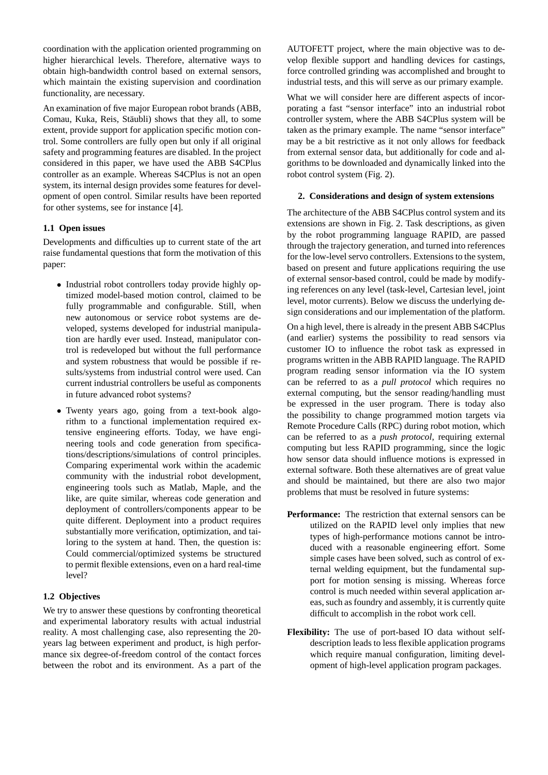coordination with the application oriented programming on higher hierarchical levels. Therefore, alternative ways to obtain high-bandwidth control based on external sensors, which maintain the existing supervision and coordination functionality, are necessary.

An examination of five major European robot brands (ABB, Comau, Kuka, Reis, Stäubli) shows that they all, to some extent, provide support for application specific motion control. Some controllers are fully open but only if all original safety and programming features are disabled. In the project considered in this paper, we have used the ABB S4CPlus controller as an example. Whereas S4CPlus is not an open system, its internal design provides some features for development of open control. Similar results have been reported for other systems, see for instance [4].

#### **1.1 Open issues**

Developments and difficulties up to current state of the art raise fundamental questions that form the motivation of this paper:

- Industrial robot controllers today provide highly optimized model-based motion control, claimed to be fully programmable and configurable. Still, when new autonomous or service robot systems are developed, systems developed for industrial manipulation are hardly ever used. Instead, manipulator control is redeveloped but without the full performance and system robustness that would be possible if results/systems from industrial control were used. Can current industrial controllers be useful as components in future advanced robot systems?
- Twenty years ago, going from a text-book algorithm to a functional implementation required extensive engineering efforts. Today, we have engineering tools and code generation from specifications/descriptions/simulations of control principles. Comparing experimental work within the academic community with the industrial robot development, engineering tools such as Matlab, Maple, and the like, are quite similar, whereas code generation and deployment of controllers/components appear to be quite different. Deployment into a product requires substantially more verification, optimization, and tailoring to the system at hand. Then, the question is: Could commercial/optimized systems be structured to permit flexible extensions, even on a hard real-time level?

#### **1.2 Objectives**

We try to answer these questions by confronting theoretical and experimental laboratory results with actual industrial reality. A most challenging case, also representing the 20 years lag between experiment and product, is high performance six degree-of-freedom control of the contact forces between the robot and its environment. As a part of the

AUTOFETT project, where the main objective was to develop flexible support and handling devices for castings, force controlled grinding was accomplished and brought to industrial tests, and this will serve as our primary example.

What we will consider here are different aspects of incorporating a fast "sensor interface" into an industrial robot controller system, where the ABB S4CPlus system will be taken as the primary example. The name "sensor interface" may be a bit restrictive as it not only allows for feedback from external sensor data, but additionally for code and algorithms to be downloaded and dynamically linked into the robot control system (Fig. 2).

#### **2. Considerations and design of system extensions**

The architecture of the ABB S4CPlus control system and its extensions are shown in Fig. 2. Task descriptions, as given by the robot programming language RAPID, are passed through the trajectory generation, and turned into references for the low-level servo controllers. Extensions to the system, based on present and future applications requiring the use of external sensor-based control, could be made by modifying references on any level (task-level, Cartesian level, joint level, motor currents). Below we discuss the underlying design considerations and our implementation of the platform.

On a high level, there is already in the present ABB S4CPlus (and earlier) systems the possibility to read sensors via customer IO to influence the robot task as expressed in programs written in the ABB RAPID language. The RAPID program reading sensor information via the IO system can be referred to as a *pull protocol* which requires no external computing, but the sensor reading/handling must be expressed in the user program. There is today also the possibility to change programmed motion targets via Remote Procedure Calls (RPC) during robot motion, which can be referred to as a *push protocol*, requiring external computing but less RAPID programming, since the logic how sensor data should influence motions is expressed in external software. Both these alternatives are of great value and should be maintained, but there are also two major problems that must be resolved in future systems:

- **Performance:** The restriction that external sensors can be utilized on the RAPID level only implies that new types of high-performance motions cannot be introduced with a reasonable engineering effort. Some simple cases have been solved, such as control of external welding equipment, but the fundamental support for motion sensing is missing. Whereas force control is much needed within several application areas, such as foundry and assembly, it is currently quite difficult to accomplish in the robot work cell.
- **Flexibility:** The use of port-based IO data without selfdescription leads to less flexible application programs which require manual configuration, limiting development of high-level application program packages.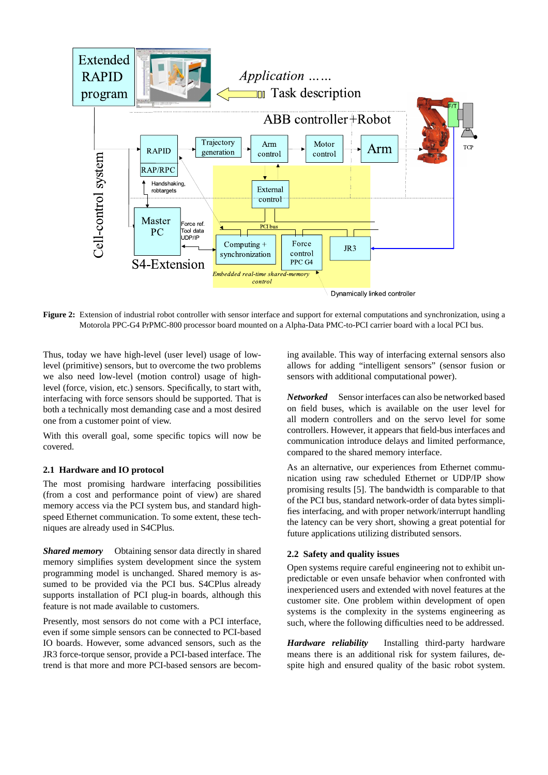

**Figure 2:** Extension of industrial robot controller with sensor interface and support for external computations and synchronization, using a Motorola PPC-G4 PrPMC-800 processor board mounted on a Alpha-Data PMC-to-PCI carrier board with a local PCI bus.

Thus, today we have high-level (user level) usage of lowlevel (primitive) sensors, but to overcome the two problems we also need low-level (motion control) usage of highlevel (force, vision, etc.) sensors. Specifically, to start with, interfacing with force sensors should be supported. That is both a technically most demanding case and a most desired one from a customer point of view.

With this overall goal, some specific topics will now be covered.

#### **2.1 Hardware and IO protocol**

The most promising hardware interfacing possibilities (from a cost and performance point of view) are shared memory access via the PCI system bus, and standard highspeed Ethernet communication. To some extent, these techniques are already used in S4CPlus.

*Shared memory* Obtaining sensor data directly in shared memory simplifies system development since the system programming model is unchanged. Shared memory is assumed to be provided via the PCI bus. S4CPlus already supports installation of PCI plug-in boards, although this feature is not made available to customers.

Presently, most sensors do not come with a PCI interface, even if some simple sensors can be connected to PCI-based IO boards. However, some advanced sensors, such as the JR3 force-torque sensor, provide a PCI-based interface. The trend is that more and more PCI-based sensors are becoming available. This way of interfacing external sensors also allows for adding "intelligent sensors" (sensor fusion or sensors with additional computational power).

*Networked* Sensor interfaces can also be networked based on field buses, which is available on the user level for all modern controllers and on the servo level for some controllers. However, it appears that field-bus interfaces and communication introduce delays and limited performance, compared to the shared memory interface.

As an alternative, our experiences from Ethernet communication using raw scheduled Ethernet or UDP/IP show promising results [5]. The bandwidth is comparable to that of the PCI bus, standard network-order of data bytes simplifies interfacing, and with proper network/interrupt handling the latency can be very short, showing a great potential for future applications utilizing distributed sensors.

#### **2.2 Safety and quality issues**

Open systems require careful engineering not to exhibit unpredictable or even unsafe behavior when confronted with inexperienced users and extended with novel features at the customer site. One problem within development of open systems is the complexity in the systems engineering as such, where the following difficulties need to be addressed.

*Hardware reliability* Installing third-party hardware means there is an additional risk for system failures, despite high and ensured quality of the basic robot system.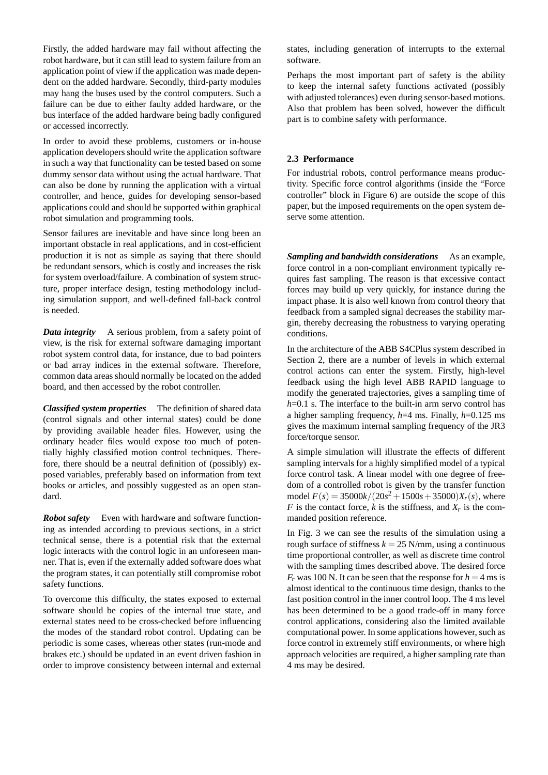Firstly, the added hardware may fail without affecting the robot hardware, but it can still lead to system failure from an application point of view if the application was made dependent on the added hardware. Secondly, third-party modules may hang the buses used by the control computers. Such a failure can be due to either faulty added hardware, or the bus interface of the added hardware being badly configured or accessed incorrectly.

In order to avoid these problems, customers or in-house application developers should write the application software in such a way that functionality can be tested based on some dummy sensor data without using the actual hardware. That can also be done by running the application with a virtual controller, and hence, guides for developing sensor-based applications could and should be supported within graphical robot simulation and programming tools.

Sensor failures are inevitable and have since long been an important obstacle in real applications, and in cost-efficient production it is not as simple as saying that there should be redundant sensors, which is costly and increases the risk for system overload/failure. A combination of system structure, proper interface design, testing methodology including simulation support, and well-defined fall-back control is needed.

*Data integrity* A serious problem, from a safety point of view, is the risk for external software damaging important robot system control data, for instance, due to bad pointers or bad array indices in the external software. Therefore, common data areas should normally be located on the added board, and then accessed by the robot controller.

*Classified system properties* The definition of shared data (control signals and other internal states) could be done by providing available header files. However, using the ordinary header files would expose too much of potentially highly classified motion control techniques. Therefore, there should be a neutral definition of (possibly) exposed variables, preferably based on information from text books or articles, and possibly suggested as an open standard.

*Robot safety* Even with hardware and software functioning as intended according to previous sections, in a strict technical sense, there is a potential risk that the external logic interacts with the control logic in an unforeseen manner. That is, even if the externally added software does what the program states, it can potentially still compromise robot safety functions.

To overcome this difficulty, the states exposed to external software should be copies of the internal true state, and external states need to be cross-checked before influencing the modes of the standard robot control. Updating can be periodic is some cases, whereas other states (run-mode and brakes etc.) should be updated in an event driven fashion in order to improve consistency between internal and external

states, including generation of interrupts to the external software.

Perhaps the most important part of safety is the ability to keep the internal safety functions activated (possibly with adjusted tolerances) even during sensor-based motions. Also that problem has been solved, however the difficult part is to combine safety with performance.

#### **2.3 Performance**

For industrial robots, control performance means productivity. Specific force control algorithms (inside the "Force controller" block in Figure 6) are outside the scope of this paper, but the imposed requirements on the open system deserve some attention.

*Sampling and bandwidth considerations* As an example, force control in a non-compliant environment typically requires fast sampling. The reason is that excessive contact forces may build up very quickly, for instance during the impact phase. It is also well known from control theory that feedback from a sampled signal decreases the stability margin, thereby decreasing the robustness to varying operating conditions.

In the architecture of the ABB S4CPlus system described in Section 2, there are a number of levels in which external control actions can enter the system. Firstly, high-level feedback using the high level ABB RAPID language to modify the generated trajectories, gives a sampling time of *h*=0.1 s. The interface to the built-in arm servo control has a higher sampling frequency, *h*=4 ms. Finally, *h*=0.125 ms gives the maximum internal sampling frequency of the JR3 force/torque sensor.

A simple simulation will illustrate the effects of different sampling intervals for a highly simplified model of a typical force control task. A linear model with one degree of freedom of a controlled robot is given by the transfer function model  $F(s) = 35000k/(20s^2 + 1500s + 35000)X_r(s)$ , where *F* is the contact force, *k* is the stiffness, and  $X_r$  is the commanded position reference.

In Fig. 3 we can see the results of the simulation using a rough surface of stiffness  $k = 25$  N/mm, using a continuous time proportional controller, as well as discrete time control with the sampling times described above. The desired force  $F_r$  was 100 N. It can be seen that the response for  $h = 4$  ms is almost identical to the continuous time design, thanks to the fast position control in the inner control loop. The 4 ms level has been determined to be a good trade-off in many force control applications, considering also the limited available computational power. In some applications however, such as force control in extremely stiff environments, or where high approach velocities are required, a higher sampling rate than 4 ms may be desired.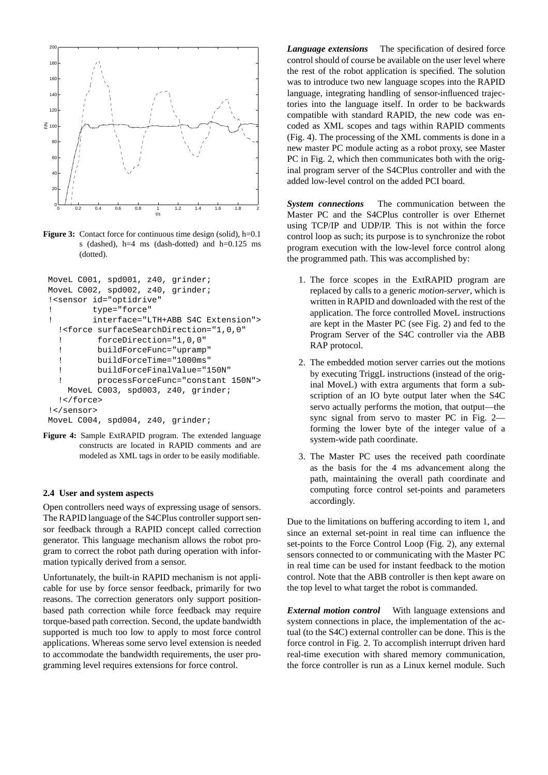

**Figure 3:** Contact force for continuous time design (solid), h=0.1 s (dashed),  $h=4$  ms (dash-dotted) and  $h=0.125$  ms (dotted).

```
MoveL C001, spd001, z40, grinder;
MoveL C002, spd002, z40, grinder;
!<sensor id="optidrive"
! type="force"
! interface="LTH+ABB S4C Extension">
  !<force surfaceSearchDirection="1,0,0"
  ! forceDirection="1,0,0"
  ! buildForceFunc="upramp"
  ! buildForceTime="1000ms"
  ! buildForceFinalValue="150N"
  ! processForceFunc="constant 150N">
   MoveL C003, spd003, z40, grinder;
  !</force>
!</sensor>
```
MoveL C004, spd004, z40, grinder;

**Figure 4:** Sample ExtRAPID program. The extended language constructs are located in RAPID comments and are modeled as XML tags in order to be easily modifiable.

#### **2.4 User and system aspects**

Open controllers need ways of expressing usage of sensors. The RAPID language of the S4CPlus controller support sensor feedback through a RAPID concept called correction generator. This language mechanism allows the robot program to correct the robot path during operation with information typically derived from a sensor.

Unfortunately, the built-in RAPID mechanism is not applicable for use by force sensor feedback, primarily for two reasons. The correction generators only support positionbased path correction while force feedback may require torque-based path correction. Second, the update bandwidth supported is much too low to apply to most force control applications. Whereas some servo level extension is needed to accommodate the bandwidth requirements, the user programming level requires extensions for force control.

*Language extensions* The specification of desired force control should of course be available on the user level where the rest of the robot application is specified. The solution was to introduce two new language scopes into the RAPID language, integrating handling of sensor-influenced trajectories into the language itself. In order to be backwards compatible with standard RAPID, the new code was encoded as XML scopes and tags within RAPID comments (Fig. 4). The processing of the XML comments is done in a new master PC module acting as a robot proxy, see Master PC in Fig. 2, which then communicates both with the original program server of the S4CPlus controller and with the added low-level control on the added PCI board.

*System connections* The communication between the Master PC and the S4CPlus controller is over Ethernet using TCP/IP and UDP/IP. This is not within the force control loop as such; its purpose is to synchronize the robot program execution with the low-level force control along the programmed path. This was accomplished by:

- 1. The force scopes in the ExtRAPID program are replaced by calls to a generic *motion-server*, which is written in RAPID and downloaded with the rest of the application. The force controlled MoveL instructions are kept in the Master PC (see Fig. 2) and fed to the Program Server of the S4C controller via the ABB RAP protocol.
- 2. The embedded motion server carries out the motions by executing TriggL instructions (instead of the original MoveL) with extra arguments that form a subscription of an IO byte output later when the S4C servo actually performs the motion, that output—the sync signal from servo to master PC in Fig. 2 forming the lower byte of the integer value of a system-wide path coordinate.
- 3. The Master PC uses the received path coordinate as the basis for the 4 ms advancement along the path, maintaining the overall path coordinate and computing force control set-points and parameters accordingly.

Due to the limitations on buffering according to item 1, and since an external set-point in real time can influence the set-points to the Force Control Loop (Fig. 2), any external sensors connected to or communicating with the Master PC in real time can be used for instant feedback to the motion control. Note that the ABB controller is then kept aware on the top level to what target the robot is commanded.

*External motion control* With language extensions and system connections in place, the implementation of the actual (to the S4C) external controller can be done. This is the force control in Fig. 2. To accomplish interrupt driven hard real-time execution with shared memory communication, the force controller is run as a Linux kernel module. Such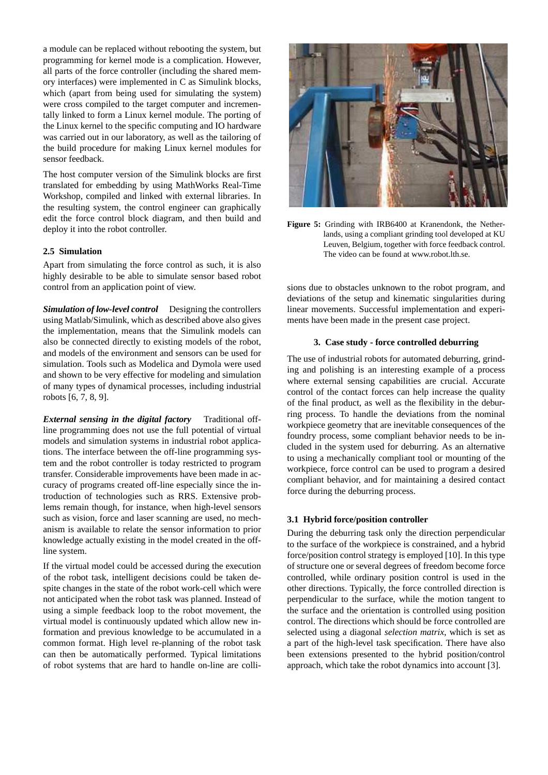a module can be replaced without rebooting the system, but programming for kernel mode is a complication. However, all parts of the force controller (including the shared memory interfaces) were implemented in C as Simulink blocks, which (apart from being used for simulating the system) were cross compiled to the target computer and incrementally linked to form a Linux kernel module. The porting of the Linux kernel to the specific computing and IO hardware was carried out in our laboratory, as well as the tailoring of the build procedure for making Linux kernel modules for sensor feedback.

The host computer version of the Simulink blocks are first translated for embedding by using MathWorks Real-Time Workshop, compiled and linked with external libraries. In the resulting system, the control engineer can graphically edit the force control block diagram, and then build and deploy it into the robot controller.

#### **2.5 Simulation**

Apart from simulating the force control as such, it is also highly desirable to be able to simulate sensor based robot control from an application point of view.

*Simulation of low-level control* Designing the controllers using Matlab/Simulink, which as described above also gives the implementation, means that the Simulink models can also be connected directly to existing models of the robot, and models of the environment and sensors can be used for simulation. Tools such as Modelica and Dymola were used and shown to be very effective for modeling and simulation of many types of dynamical processes, including industrial robots [6, 7, 8, 9].

*External sensing in the digital factory* Traditional offline programming does not use the full potential of virtual models and simulation systems in industrial robot applications. The interface between the off-line programming system and the robot controller is today restricted to program transfer. Considerable improvements have been made in accuracy of programs created off-line especially since the introduction of technologies such as RRS. Extensive problems remain though, for instance, when high-level sensors such as vision, force and laser scanning are used, no mechanism is available to relate the sensor information to prior knowledge actually existing in the model created in the offline system.

If the virtual model could be accessed during the execution of the robot task, intelligent decisions could be taken despite changes in the state of the robot work-cell which were not anticipated when the robot task was planned. Instead of using a simple feedback loop to the robot movement, the virtual model is continuously updated which allow new information and previous knowledge to be accumulated in a common format. High level re-planning of the robot task can then be automatically performed. Typical limitations of robot systems that are hard to handle on-line are colli-



**Figure 5:** Grinding with IRB6400 at Kranendonk, the Netherlands, using a compliant grinding tool developed at KU Leuven, Belgium, together with force feedback control. The video can be found at www.robot.lth.se.

sions due to obstacles unknown to the robot program, and deviations of the setup and kinematic singularities during linear movements. Successful implementation and experiments have been made in the present case project.

#### **3. Case study - force controlled deburring**

The use of industrial robots for automated deburring, grinding and polishing is an interesting example of a process where external sensing capabilities are crucial. Accurate control of the contact forces can help increase the quality of the final product, as well as the flexibility in the deburring process. To handle the deviations from the nominal workpiece geometry that are inevitable consequences of the foundry process, some compliant behavior needs to be included in the system used for deburring. As an alternative to using a mechanically compliant tool or mounting of the workpiece, force control can be used to program a desired compliant behavior, and for maintaining a desired contact force during the deburring process.

#### **3.1 Hybrid force/position controller**

During the deburring task only the direction perpendicular to the surface of the workpiece is constrained, and a hybrid force/position control strategy is employed [10]. In this type of structure one or several degrees of freedom become force controlled, while ordinary position control is used in the other directions. Typically, the force controlled direction is perpendicular to the surface, while the motion tangent to the surface and the orientation is controlled using position control. The directions which should be force controlled are selected using a diagonal *selection matrix*, which is set as a part of the high-level task specification. There have also been extensions presented to the hybrid position/control approach, which take the robot dynamics into account [3].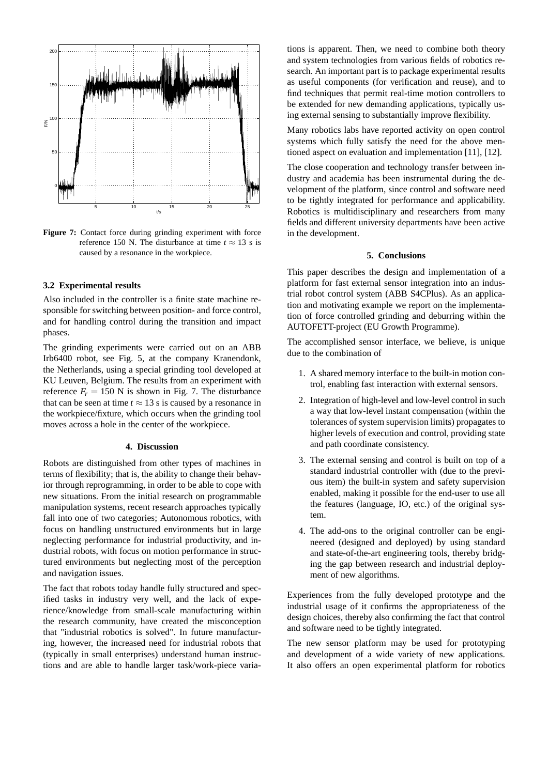

**Figure 7:** Contact force during grinding experiment with force reference 150 N. The disturbance at time  $t \approx 13$  s is caused by a resonance in the workpiece.

#### **3.2 Experimental results**

Also included in the controller is a finite state machine responsible for switching between position- and force control, and for handling control during the transition and impact phases.

The grinding experiments were carried out on an ABB Irb6400 robot, see Fig. 5, at the company Kranendonk, the Netherlands, using a special grinding tool developed at KU Leuven, Belgium. The results from an experiment with reference  $F_r = 150$  N is shown in Fig. 7. The disturbance that can be seen at time  $t \approx 13$  s is caused by a resonance in the workpiece/fixture, which occurs when the grinding tool moves across a hole in the center of the workpiece.

#### **4. Discussion**

Robots are distinguished from other types of machines in terms of flexibility; that is, the ability to change their behavior through reprogramming, in order to be able to cope with new situations. From the initial research on programmable manipulation systems, recent research approaches typically fall into one of two categories; Autonomous robotics, with focus on handling unstructured environments but in large neglecting performance for industrial productivity, and industrial robots, with focus on motion performance in structured environments but neglecting most of the perception and navigation issues.

The fact that robots today handle fully structured and specified tasks in industry very well, and the lack of experience/knowledge from small-scale manufacturing within the research community, have created the misconception that "industrial robotics is solved". In future manufacturing, however, the increased need for industrial robots that (typically in small enterprises) understand human instructions and are able to handle larger task/work-piece variations is apparent. Then, we need to combine both theory and system technologies from various fields of robotics research. An important part is to package experimental results as useful components (for verification and reuse), and to find techniques that permit real-time motion controllers to be extended for new demanding applications, typically using external sensing to substantially improve flexibility.

Many robotics labs have reported activity on open control systems which fully satisfy the need for the above mentioned aspect on evaluation and implementation [11], [12].

The close cooperation and technology transfer between industry and academia has been instrumental during the development of the platform, since control and software need to be tightly integrated for performance and applicability. Robotics is multidisciplinary and researchers from many fields and different university departments have been active in the development.

#### **5. Conclusions**

This paper describes the design and implementation of a platform for fast external sensor integration into an industrial robot control system (ABB S4CPlus). As an application and motivating example we report on the implementation of force controlled grinding and deburring within the AUTOFETT-project (EU Growth Programme).

The accomplished sensor interface, we believe, is unique due to the combination of

- 1. A shared memory interface to the built-in motion control, enabling fast interaction with external sensors.
- 2. Integration of high-level and low-level control in such a way that low-level instant compensation (within the tolerances of system supervision limits) propagates to higher levels of execution and control, providing state and path coordinate consistency.
- 3. The external sensing and control is built on top of a standard industrial controller with (due to the previous item) the built-in system and safety supervision enabled, making it possible for the end-user to use all the features (language, IO, etc.) of the original system.
- 4. The add-ons to the original controller can be engineered (designed and deployed) by using standard and state-of-the-art engineering tools, thereby bridging the gap between research and industrial deployment of new algorithms.

Experiences from the fully developed prototype and the industrial usage of it confirms the appropriateness of the design choices, thereby also confirming the fact that control and software need to be tightly integrated.

The new sensor platform may be used for prototyping and development of a wide variety of new applications. It also offers an open experimental platform for robotics